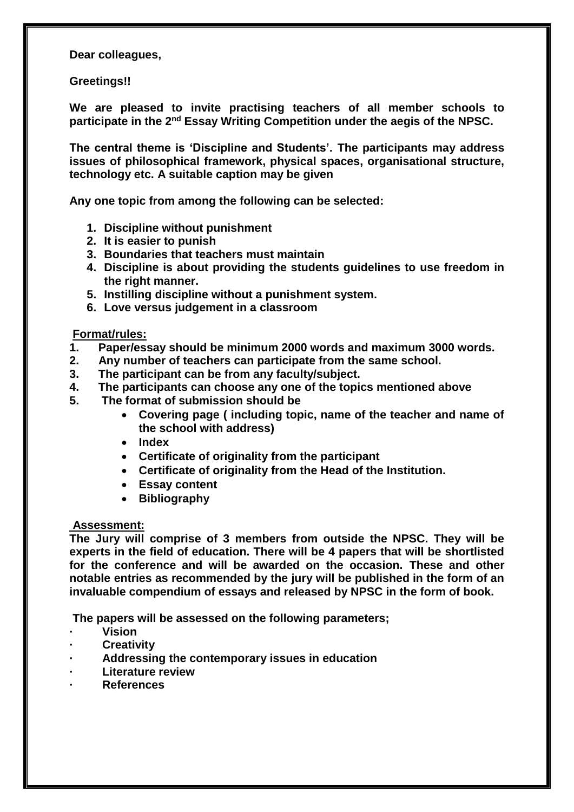**Dear colleagues,**

**Greetings!!**

**We are pleased to invite practising teachers of all member schools to participate in the 2nd Essay Writing Competition under the aegis of the NPSC.**

**The central theme is 'Discipline and Students'. The participants may address issues of philosophical framework, physical spaces, organisational structure, technology etc. A suitable caption may be given**

**Any one topic from among the following can be selected:**

- **1. Discipline without punishment**
- **2. It is easier to punish**
- **3. Boundaries that teachers must maintain**
- **4. Discipline is about providing the students guidelines to use freedom in the right manner.**
- **5. Instilling discipline without a punishment system.**
- **6. Love versus judgement in a classroom**

**Format/rules:**

- **1. Paper/essay should be minimum 2000 words and maximum 3000 words.**
- **2. Any number of teachers can participate from the same school.**
- **3. The participant can be from any faculty/subject.**
- **4. The participants can choose any one of the topics mentioned above**
- **5. The format of submission should be** 
	- **Covering page ( including topic, name of the teacher and name of the school with address)**
	- **Index**
	- **Certificate of originality from the participant**
	- **Certificate of originality from the Head of the Institution.**
	- **Essay content**
	- **Bibliography**

## **Assessment:**

**The Jury will comprise of 3 members from outside the NPSC. They will be experts in the field of education. There will be 4 papers that will be shortlisted for the conference and will be awarded on the occasion. These and other notable entries as recommended by the jury will be published in the form of an invaluable compendium of essays and released by NPSC in the form of book.**

**The papers will be assessed on the following parameters;**

- **· Vision**
- **· Creativity**
- **· Addressing the contemporary issues in education**
- **· Literature review**
- **· References**